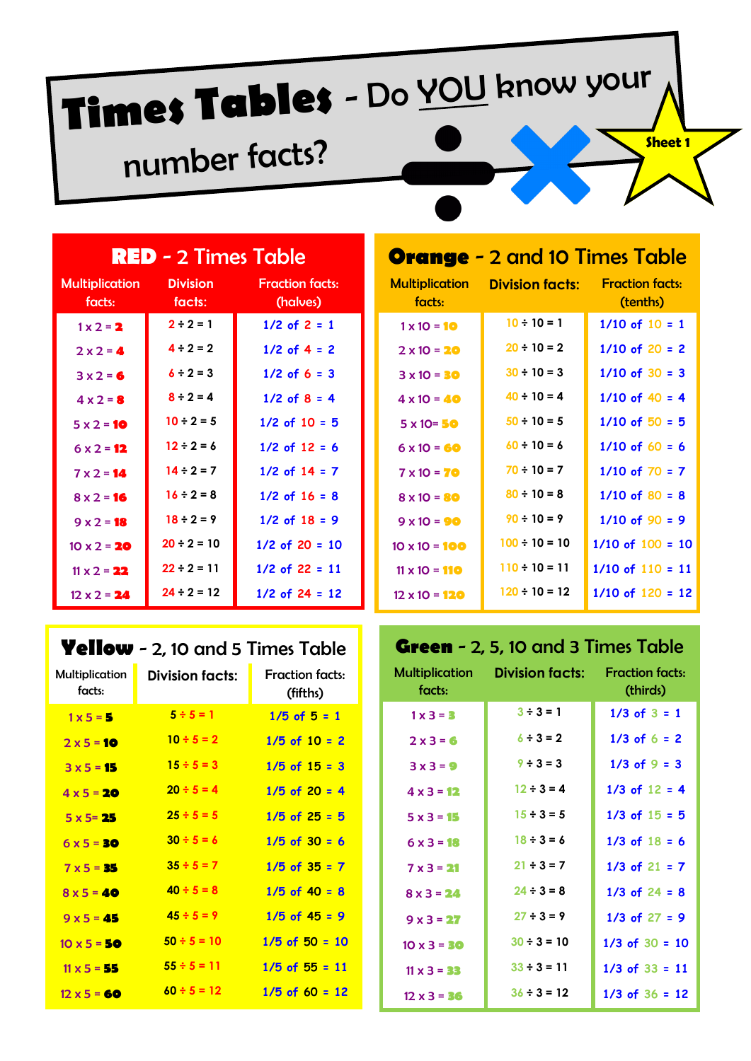# **Times Tables** - Do YOU know your

# number facts?

| <b>RED</b> - 2 Times Table      |                           |                                    |  |
|---------------------------------|---------------------------|------------------------------------|--|
| <b>Multiplication</b><br>facts: | <b>Division</b><br>facts: | <b>Fraction facts:</b><br>(halves) |  |
| $1 \times 2 = 2$                | $2 \div 2 = 1$            | $1/2$ of $2 = 1$                   |  |
| $2 \times 2 = 4$                | $4 \div 2 = 2$            | $1/2$ of $4 = 2$                   |  |
| $3x2=6$                         | $6 \div 2 = 3$            | $1/2$ of 6 = 3                     |  |
| $4 \times 2 = 8$                | $8 \div 2 = 4$            | $1/2$ of $8 = 4$                   |  |
| $5 \times 2 = 10$               | $10 \div 2 = 5$           | $1/2$ of $10 = 5$                  |  |
| $6 \times 2 = 12$               | $12 \div 2 = 6$           | $1/2$ of $12 = 6$                  |  |
| $7 \times 2 = 14$               | $14 \div 2 = 7$           | $1/2$ of $14 = 7$                  |  |
| $8 \times 2 = 16$               | $16 \div 2 = 8$           | $1/2$ of $16 = 8$                  |  |
| $9 \times 2 = 18$               | $18 \div 2 = 9$           | $1/2$ of $18 = 9$                  |  |
| $10 \times 2 = 20$              | $20 \div 2 = 10$          | $1/2$ of 20 = 10                   |  |
| $11 \times 2 = 22$              | $22 \div 2 = 11$          | $1/2$ of 22 = 11                   |  |
| $12 \times 2 = 24$              | $24 \div 2 = 12$          | $1/2$ of 24 = 12                   |  |

# **Yellow** - 2, 10 and 5 Times Table

| Multiplication<br>facts: | <b>Division facts:</b> | <b>Fraction facts:</b><br>(fifths) |
|--------------------------|------------------------|------------------------------------|
| $1 \times 5 = 5$         | $5 \div 5 = 1$         | $1/5$ of $5 = 1$                   |
| $2 × 5 = 10$             | $10 \div 5 = 2$        | $1/5$ of $10 = 2$                  |
| $3 \times 5 = 15$        | $15 \div 5 = 3$        | $1/5$ of $15 = 3$                  |
| $4 \times 5 = 20$        | $20 \div 5 = 4$        | $1/5$ of 20 = 4                    |
| $5 \times 5 = 25$        | $25 \div 5 = 5$        | $1/5$ of $25 = 5$                  |
| $6 \times 5 = 30$        | $30 \div 5 = 6$        | $1/5$ of $30 = 6$                  |
| $7 \times 5 = 35$        | $35 \div 5 = 7$        | $1/5$ of $35 = 7$                  |
| $8 \times 5 = 40$        | $40 \div 5 = 8$        | $1/5$ of 40 = 8                    |
| $9x5 = 45$               | $45 \div 5 = 9$        | $1/5$ of $45 = 9$                  |
| $10 \times 5 = 50$       | $50 \div 5 = 10$       | $1/5$ of $50 = 10$                 |
| $11 \times 5 = 55$       | $55 \div 5 = 11$       | $1/5$ of $55 = 11$                 |
| $12 \times 5 = 60$       | $60 \div 5 = 12$       | $1/5$ of 60 = 12                   |

| <b>Orange</b> - 2 and 10 Times Table |                                    |  |  |
|--------------------------------------|------------------------------------|--|--|
| <b>Division facts:</b>               | <b>Fraction facts:</b><br>(tenths) |  |  |
| $10 \div 10 = 1$                     | $1/10$ of $10 = 1$                 |  |  |
| $20 \div 10 = 2$                     | $1/10$ of 20 = 2                   |  |  |
| $30 \div 10 = 3$                     | $1/10$ of $30 = 3$                 |  |  |
| $40 \div 10 = 4$                     | $1/10$ of $40 = 4$                 |  |  |
| $50 \div 10 = 5$                     | $1/10$ of $50 = 5$                 |  |  |
| $60 \div 10 = 6$                     | $1/10$ of 60 = 6                   |  |  |
| $70 \div 10 = 7$                     | $1/10$ of $70 = 7$                 |  |  |
| $80 \div 10 = 8$                     | $1/10$ of 80 = 8                   |  |  |
| $90 \div 10 = 9$                     | $1/10$ of 90 = 9                   |  |  |
| $100 - 10 = 10$                      | $1/10$ of $100 = 10$               |  |  |
| $110 \div 10 = 11$                   | $1/10$ of $110 = 11$               |  |  |
| $120 - 10 = 12$                      | $1/10$ of $120 = 12$               |  |  |
|                                      |                                    |  |  |

# **Green** - 2, 5, 10 and 3 Times Table

| Multiplication<br>facts: | <b>Division facts:</b> | <b>Fraction facts:</b><br>(thirds) |
|--------------------------|------------------------|------------------------------------|
| $1 \times 3 = 3$         | $3 \div 3 = 1$         | $1/3$ of $3 = 1$                   |
| $2 \times 3 = 6$         | $6 \div 3 = 2$         | $1/3$ of $6 = 2$                   |
| $3 \times 3 = 9$         | $9 \div 3 = 3$         | $1/3$ of $9 = 3$                   |
| $4 \times 3 = 12$        | $12 \div 3 = 4$        | $1/3$ of $12 = 4$                  |
| $5 \times 3 = 15$        | $15 \div 3 = 5$        | $1/3$ of $15 = 5$                  |
| $6 \times 3 = 18$        | $18 \div 3 = 6$        | $1/3$ of $18 = 6$                  |
| $7 \times 3 = 21$        | $21 \div 3 = 7$        | $1/3$ of $21 = 7$                  |
| $8 \times 3 = 24$        | $24 \div 3 = 8$        | $1/3$ of $24 = 8$                  |
| $9 \times 3 = 27$        | $27 \div 3 = 9$        | $1/3$ of $27 = 9$                  |
| $10 \times 3 = 30$       | $30 \div 3 = 10$       | $1/3$ of $30 = 10$                 |
| $11 \times 3 = 33$       | $33 \div 3 = 11$       | $1/3$ of $33 = 11$                 |
| $12 \times 3 = 36$       | $36 \div 3 = 12$       | $1/3$ of $36 = 12$                 |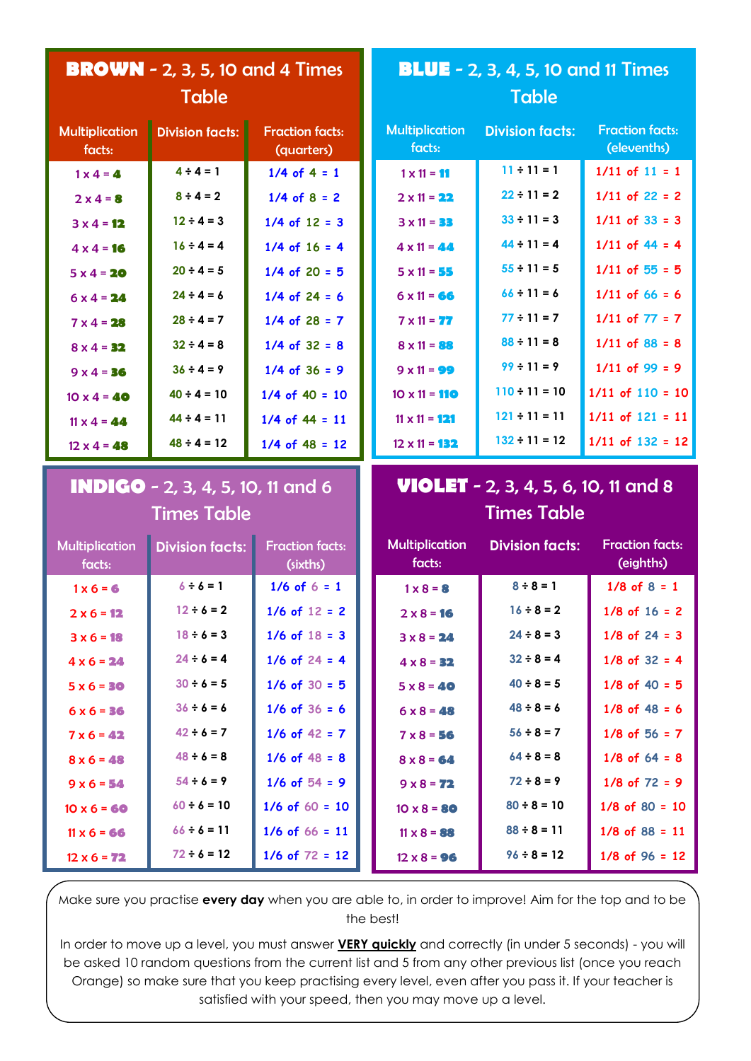|                                 | <b>BROWN</b> - 2, 3, 5, 10 and 4 Times   |                                      | <b>BLUE</b> - 2, 3, 4, 5, 10 and 11 Times   |                        |                                       |
|---------------------------------|------------------------------------------|--------------------------------------|---------------------------------------------|------------------------|---------------------------------------|
|                                 | <b>Table</b>                             |                                      | <b>Table</b>                                |                        |                                       |
| <b>Multiplication</b><br>facts: | <b>Division facts:</b>                   | <b>Fraction facts:</b><br>(quarters) | <b>Multiplication</b><br>facts:             | <b>Division facts:</b> | <b>Fraction facts:</b><br>(elevenths) |
| $1 \times 4 = 4$                | $4 \div 4 = 1$                           | $1/4$ of $4 = 1$                     | $1 \times 11 = 11$                          | $11 \div 11 = 1$       | $1/11$ of $11 = 1$                    |
| $2 \times 4 = 8$                | $8 \div 4 = 2$                           | $1/4$ of $8 = 2$                     | $2 \times 11 = 22$                          | $22 \div 11 = 2$       | $1/11$ of 22 = 2                      |
| $3 \times 4 = 12$               | $12 \div 4 = 3$                          | $1/4$ of $12 = 3$                    | $3 \times 11 = 33$                          | $33 \div 11 = 3$       | $1/11$ of $33 = 3$                    |
| $4 \times 4 = 16$               | $16 \div 4 = 4$                          | $1/4$ of $16 = 4$                    | $4 \times 11 = 44$                          | $44 \div 11 = 4$       | $1/11$ of $44 = 4$                    |
| $5 \times 4 = 20$               | $20 \div 4 = 5$                          | $1/4$ of 20 = 5                      | $5 \times 11 = 55$                          | $55 \div 11 = 5$       | $1/11$ of $55 = 5$                    |
| $6 \times 4 = 24$               | $24 \div 4 = 6$                          | $1/4$ of 24 = 6                      | $6 \times 11 = 66$                          | $66 \div 11 = 6$       | $1/11$ of 66 = 6                      |
| $7 \times 4 = 28$               | $28 \div 4 = 7$                          | $1/4$ of 28 = 7                      | $7 \times 11 = 77$                          | $77 \div 11 = 7$       | $1/11$ of $77 = 7$                    |
| $8 \times 4 = 32$               | $32 \div 4 = 8$                          | $1/4$ of $32 = 8$                    | $8 \times 11 = 88$                          | $88 \div 11 = 8$       | $1/11$ of 88 = 8                      |
| $9 \times 4 = 36$               | $36 \div 4 = 9$                          | $1/4$ of $36 = 9$                    | $9 \times 11 = 99$                          | $99 \div 11 = 9$       | $1/11$ of 99 = 9                      |
| $10 \times 4 = 40$              | $40 \div 4 = 10$                         | $1/4$ of $40 = 10$                   | $10 \times 11 = 110$                        | $110 \div 11 = 10$     | $1/11$ of $110 = 10$                  |
| $11 \times 4 = 44$              | $44 \div 4 = 11$                         | $1/4$ of 44 = 11                     | $11 \times 11 = 121$                        | $121 \div 11 = 11$     | $1/11$ of $121 = 11$                  |
| $12 \times 4 = 48$              | $48 \div 4 = 12$                         | $1/4$ of $48 = 12$                   | $12 \times 11 = 132$                        | $132 \div 11 = 12$     | $1/11$ of $132 = 12$                  |
|                                 |                                          |                                      | <b>VIOLET</b> - 2, 3, 4, 5, 6, 10, 11 and 8 |                        |                                       |
|                                 | <b>INDIGO</b> - 2, 3, 4, 5, 10, 11 and 6 |                                      |                                             |                        |                                       |
|                                 | <b>Times Table</b>                       |                                      |                                             | <b>Times Table</b>     |                                       |
| <b>Multiplication</b><br>facts: | <b>Division facts:</b>                   | <b>Fraction facts:</b><br>(sixths)   | <b>Multiplication</b><br>facts:             | <b>Division facts:</b> | <b>Fraction facts:</b><br>(eighths)   |
| $1 \times 6 = 6$                | $6 \div 6 = 1$                           | $1/6$ of $6 = 1$                     | $1 \times 8 = 8$                            | $8 \div 8 = 1$         | $1/8$ of $8 = 1$                      |
| $2 \times 6 = 12$               | $12 \div 6 = 2$                          | $1/6$ of $12 = 2$                    | $2 \times 8 = 16$                           | $16 \div 8 = 2$        | $1/8$ of $16 = 2$                     |
| $3 \times 6 = 18$               | $18 \div 6 = 3$                          | $1/6$ of $18 = 3$                    | $3 \times 8 = 24$                           | $24 \div 8 = 3$        | $1/8$ of 24 = 3                       |
| $4 \times 6 = 24$               | $24 \div 6 = 4$                          | $1/6$ of $24 = 4$                    | $4 \times 8 = 32$                           | $32 \div 8 = 4$        | $1/8$ of $32 = 4$                     |
| $5 \times 6 = 30$               | $30 \div 6 = 5$                          | $1/6$ of $30 = 5$                    | $5 \times 8 = 40$                           | $40 \div 8 = 5$        | $1/8$ of $40 = 5$                     |
| $6 \times 6 = 36$               | $36 \div 6 = 6$                          | $1/6$ of $36 = 6$                    | $6 \times 8 = 48$                           | $48 \div 8 = 6$        | $1/8$ of $48 = 6$                     |
| $7 \times 6 = 42$               | $42 \div 6 = 7$                          | $1/6$ of $42 = 7$                    | $7 \times 8 = 56$                           | $56 \div 8 = 7$        | $1/8$ of $56 = 7$                     |
| $8 \times 6 = 48$               | $48 \div 6 = 8$                          | $1/6$ of $48 = 8$                    | $8 \times 8 = 64$                           | $64 \div 8 = 8$        | $1/8$ of $64 = 8$                     |
| $9 \times 6 = 54$               | $54 \div 6 = 9$                          | $1/6$ of $54 = 9$                    | $9 \times 8 = 72$                           | $72 \div 8 = 9$        | $1/8$ of $72 = 9$                     |
| $10 \times 6 = 60$              | $60 \div 6 = 10$                         | $1/6$ of $60 = 10$                   | $10 \times 8 = 80$                          | $80 \div 8 = 10$       | $1/8$ of $80 = 10$                    |
| $11 \times 6 = 66$              | $66 \div 6 = 11$                         | $1/6$ of $66 = 11$                   | $11 \times 8 = 88$                          | $88 \div 8 = 11$       | $1/8$ of $88 = 11$                    |

Make sure you practise **every day** when you are able to, in order to improve! Aim for the top and to be the best!

In order to move up a level, you must answer **VERY quickly** and correctly (in under 5 seconds) - you will be asked 10 random questions from the current list and 5 from any other previous list (once you reach Orange) so make sure that you keep practising every level, even after you pass it. If your teacher is satisfied with your speed, then you may move up a level.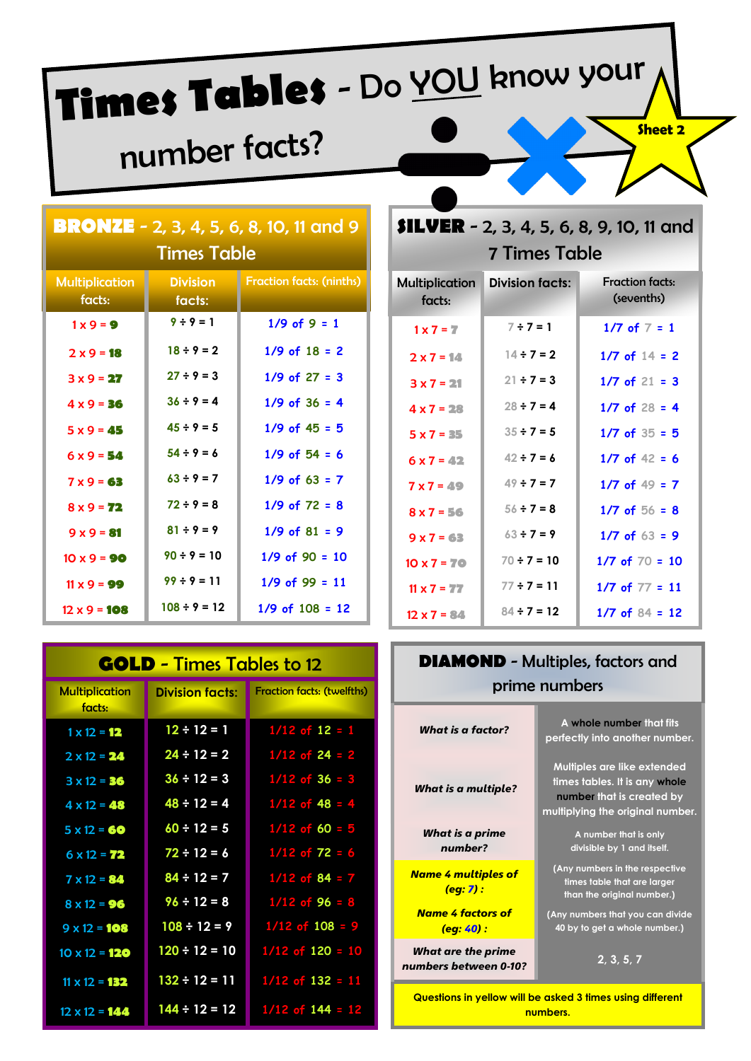# **Times Tables** - Do YOU know your

# number facts?

| <b>BRONZE</b> - 2, 3, 4, 5, 6, 8, 10, 11 and 9<br><b>Times Table</b> |                           |                                 |  |  |
|----------------------------------------------------------------------|---------------------------|---------------------------------|--|--|
| <b>Multiplication</b><br>facts:                                      | <b>Division</b><br>facts: | <b>Fraction facts: (ninths)</b> |  |  |
| $1 \times 9 = 9$                                                     | $9 \div 9 = 1$            | $1/9$ of $9 = 1$                |  |  |
| $2 \times 9 = 18$                                                    | $18 \div 9 = 2$           | $1/9$ of $18 = 2$               |  |  |
| $3x9 = 27$                                                           | $27 \div 9 = 3$           | $1/9$ of $27 = 3$               |  |  |
| $4 \times 9 = 36$                                                    | $36 \div 9 = 4$           | $1/9$ of $36 = 4$               |  |  |
| $5 \times 9 = 45$                                                    | $45 \div 9 = 5$           | $1/9$ of $45 = 5$               |  |  |
| $6 \times 9 = 54$                                                    | $54 \div 9 = 6$           | $1/9$ of $54 = 6$               |  |  |
| $7 \times 9 = 63$                                                    | $63 \div 9 = 7$           | $1/9$ of 63 = 7                 |  |  |
| $8 \times 9 = 72$                                                    | $72 \div 9 = 8$           | $1/9$ of $72 = 8$               |  |  |
| $9 \times 9 = 81$                                                    | $81 \div 9 = 9$           | $1/9$ of $81 = 9$               |  |  |
| $10 \times 9 = 90$                                                   | $90 \div 9 = 10$          | $1/9$ of $90 = 10$              |  |  |
| $11 \times 9 = 99$                                                   | $99 \div 9 = 11$          | $1/9$ of 99 = 11                |  |  |
| $12 \times 9 = 108$                                                  | $108 \div 9 = 12$         | $1/9$ of $108 = 12$             |  |  |

| <b>GOLD</b> - Times Tables to 12 |                        |                                   |  |
|----------------------------------|------------------------|-----------------------------------|--|
| <b>Multiplication</b><br>facts:  | <b>Division facts:</b> | <b>Fraction facts: (twelfths)</b> |  |
| $1 \times 12 = 12$               | $12 \div 12 = 1$       | $1/12$ of $12 = 1$                |  |
| $2 \times 12 = 24$               | $24 \div 12 = 2$       | $1/12$ of 24 = 2                  |  |
| $3 \times 12 = 36$               | $36 \div 12 = 3$       | $1/12$ of 36 = 3                  |  |
| $4 \times 12 = 48$               | $48 \div 12 = 4$       | $1/12$ of 48 = 4                  |  |
| $5 \times 12 = 60$               | $60 \div 12 = 5$       | $1/12$ of 60 = 5                  |  |
| $6 \times 12 = 72$               | $72 \div 12 = 6$       | $1/12$ of $72 = 6$                |  |
| $7 \times 12 = 84$               | $84 \div 12 = 7$       | $1/12$ of 84 = 7                  |  |
| $8 \times 12 = 96$               | $96 \div 12 = 8$       | $1/12$ of 96 = 8                  |  |
| $9 \times 12 = 108$              | $108 \div 12 = 9$      | $1/12$ of $108 = 9$               |  |
| $10 \times 12 = 120$             | $120 \div 12 = 10$     | $1/12$ of $120 = 10$              |  |
| $11 \times 12 = 132$             | $132 \div 12 = 11$     | $1/12$ of $132 = 11$              |  |
| $12 \times 12 = 144$             | $144 \div 12 = 12$     | $1/12$ of $144 = 12$              |  |

# **SILVER** - 2, 3, 4, 5, 6, 8, 9, 10, 11 and 7 Times Table

| <b>Multiplication</b><br>facts: | <b>Division facts:</b> | <b>Fraction facts:</b><br>(sevenths) |
|---------------------------------|------------------------|--------------------------------------|
| $1 \times 7 = 7$                | $7 \div 7 = 1$         | 1/7 of $7 = 1$                       |
| $2 \times 7 = 14$               | $14 \div 7 = 2$        | $1/7$ of $14 = 2$                    |
| $3 \times 7 = 21$               | $21 \div 7 = 3$        | $1/7$ of $21 = 3$                    |
| $4 \times 7 = 28$               | $28 \div 7 = 4$        | $1/7$ of $28 = 4$                    |
| $5 \times 7 = 35$               | $35 \div 7 = 5$        | $1/7$ of $35 = 5$                    |
| $6 \times 7 = 42$               | $42 \div 7 = 6$        | $1/7$ of $42 = 6$                    |
| $7 \times 7 = 49$               | $49 \div 7 = 7$        | $1/7$ of $49 = 7$                    |
| $8 \times 7 = 56$               | $56 \div 7 = 8$        | $1/7$ of $56 = 8$                    |
| $9x7 = 63$                      | $63 \div 7 = 9$        | $1/7$ of 63 = 9                      |
| $10 \times 7 = 70$              | $70 \div 7 = 10$       | $1/7$ of $70 = 10$                   |
| $11 \times 7 = 77$              | $77 \div 7 = 11$       | $1/7$ of $77 = 11$                   |
| $12 \times 7 = 84$              | $84 \div 7 = 12$       | $1/7$ of $84 = 12$                   |

| <b>DIAMOND</b> - Multiples, factors and<br>prime numbers                                                    |                                                                                                                               |  |  |
|-------------------------------------------------------------------------------------------------------------|-------------------------------------------------------------------------------------------------------------------------------|--|--|
| What is a factor?                                                                                           | A whole number that fits<br>perfectly into another number.                                                                    |  |  |
| What is a multiple?                                                                                         | Multiples are like extended<br>times tables. It is any whole<br>number that is created by<br>multiplying the original number. |  |  |
| What is a prime<br>number?                                                                                  | A number that is only<br>divisible by 1 and itself.                                                                           |  |  |
| <b>Name 4 multiples of</b><br>(eg: 7) :                                                                     | (Any numbers in the respective<br>times table that are larger<br>than the original number.)                                   |  |  |
| <b>Name 4 factors of</b><br>(Any numbers that you can divide<br>40 by to get a whole number.)<br>(eg: 40) : |                                                                                                                               |  |  |
| What are the prime<br>2, 3, 5, 7<br>numbers between 0-10?                                                   |                                                                                                                               |  |  |
| Questions in yellow will be asked 3 times using different                                                   |                                                                                                                               |  |  |

**numbers.**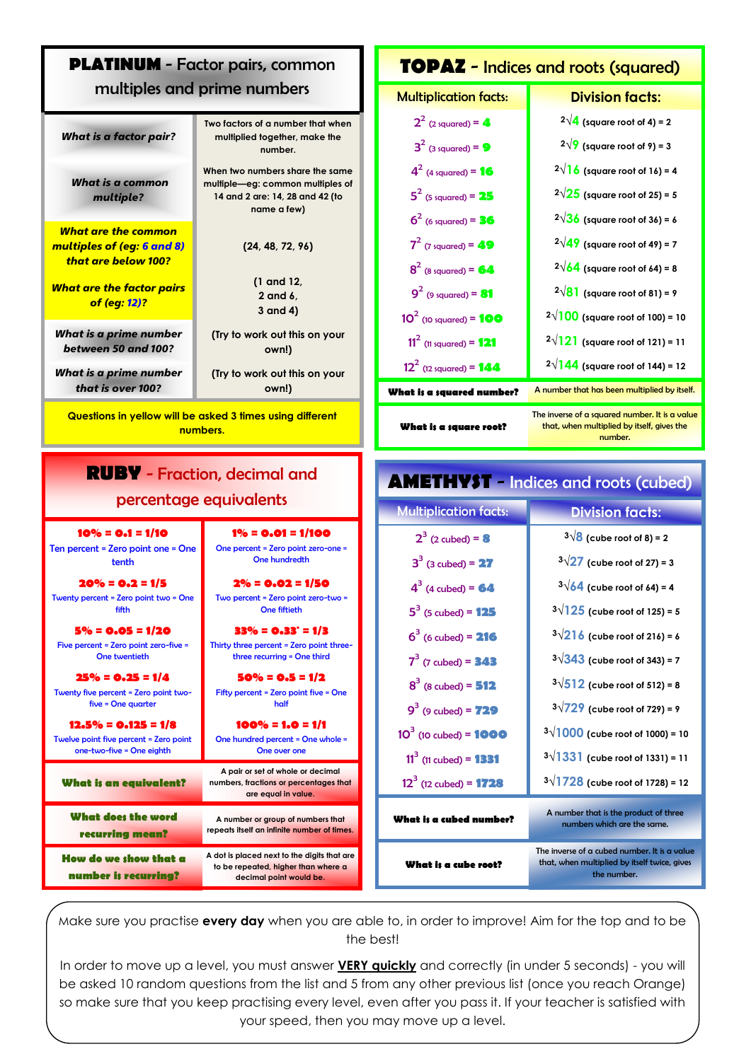## **PLATINUM** - Factor pairs, common multiples and prime numbers

| What is a factor pair?                                                          | Two factors of a number that when<br>multiplied together, make the<br>number.                                         |
|---------------------------------------------------------------------------------|-----------------------------------------------------------------------------------------------------------------------|
| What is a common<br>multiple?                                                   | When two numbers share the same<br>multiple—eg: common multiples of<br>14 and 2 are: 14, 28 and 42 (to<br>name a few) |
| What are the common<br><u>multiples of (eg: 6 and 8)</u><br>that are below 100? | (24, 48, 72, 96)                                                                                                      |
| <u>What are the factor pairs</u><br><mark>of (eg: 12)</mark> ?                  | (1 and 12,<br>2 and 6,<br>3 and 4)                                                                                    |
| What is a prime number<br>between 50 and 100?                                   | (Try to work out this on your<br>own!)                                                                                |
| What is a prime number<br>that is over 100?                                     | (Try to work out this on your<br>own!)                                                                                |

**Questions in yellow will be asked 3 times using different numbers.**

### **RUBY** - Fraction, decimal and percentage equivalents

#### **10% = 0.1 = 1/10**  Ten percent = Zero point one = One tenth **1% = 0.01 = 1/100**  One percent = Zero point zero-one = One hundredth **20% = 0.2 = 1/5**  Twenty percent = Zero point two = One fifth **2% = 0.02 = 1/50**  Two percent = Zero point zero-two = One fiftieth **5% = 0.05 = 1/20**  Five percent = Zero point zero-five = One twentieth **33% = 0.33. = 1/3** Thirty three percent = Zero point threethree recurring = One third **25% = 0.25 = 1/4**  Twenty five percent = Zero point twofive = One quarter **50% = 0.5 = 1/2** Fifty percent = Zero point five = One half **12.5% = 0.125 = 1/8**  Twelve point five percent = Zero point one-two-five = One eighth **100% = 1.0 = 1/1**  One hundred percent = One whole = One over one **What is an equivalent? A pair or set of whole or decimal numbers, fractions or percentages that are equal in value. What does the word recurring mean? A number or group of numbers that repeats itself an infinite number of times. How do we show that a number is recurring? A dot is placed next to the digits that are to be repeated, higher than where a decimal point would be.**  $2^3$  (2 cubed) = **8** 3 3 4 3 5 3  $6<sup>3</sup>$  $7^3$ 8 3  $9^3$  $10^3$  (10 cubed) = 1000  $11^3$  (11 cubed) = **1331**  $12^3$  (12 cubed) = **1728 What is a cube root?**

### **TOPAZ** - Indices and roots (squared)

#### Multiplication facts: **Division facts:**

| $2^2$ (2 squared) = $4$            | $2\sqrt{4}$ (square root of 4) = 2                                                                      |
|------------------------------------|---------------------------------------------------------------------------------------------------------|
| $3^2$ (3 squared) = 9              | $2\sqrt{9}$ (square root of 9) = 3                                                                      |
| $4^2$ (4 squared) = 16             | $2\sqrt{16}$ (square root of 16) = 4                                                                    |
| $5^2$ (5 squared) = 25             | $2\sqrt{25}$ (square root of 25) = 5                                                                    |
| $6^2$ (6 squared) = <b>36</b>      | $2\sqrt{36}$ (square root of 36) = 6                                                                    |
| $7^2$ (7 squared) = 49             | $2\sqrt{49}$ (square root of 49) = 7                                                                    |
| $8^2$ (8 squared) = 64             | $2\sqrt{64}$ (square root of 64) = 8                                                                    |
| $9^2$ (9 squared) = 81             | $2\sqrt{81}$ (square root of 81) = 9                                                                    |
| 10 <sup>2</sup> (10 squared) = 100 | $2\sqrt{100}$ (square root of 100) = 10                                                                 |
| $11^2$ (11 squared) = 121          | $2\sqrt{121}$ (square root of 121) = 11                                                                 |
| $12^2$ (12 squared) = 144          | $2\sqrt{144}$ (square root of 144) = 12                                                                 |
| What is a squared number?          | A number that has been multiplied by itself.                                                            |
| What is a square root?             | The inverse of a squared number. It is a value<br>that, when multiplied by itself, gives the<br>number. |

**AMETHYST** - Indices and roots (cubed)

## Multiplication facts: **Division facts:**  $3\sqrt{8}$  (cube root of 8) = 2  $3\sqrt{27}$  (cube root of 27) = 3  $3\sqrt{64}$  (cube root of 64) = 4  $3\sqrt{125}$  (cube root of 125) = 5  $3\sqrt{216}$  (cube root of 216) = 6  $3\sqrt{343}$  (cube root of 343) = 7  $3\sqrt{512}$  (cube root of 512) = 8  $3\sqrt{729}$  (cube root of 729) = 9  $3\sqrt{1000}$  (cube root of 1000) = 10  $3\sqrt{1331}$  (cube root of 1331) = 11  $3\sqrt{1728}$  (cube root of 1728) = 12 **What is a cubed number?** A number that is the product of three numbers which are the same. The inverse of a cubed number. It is a value that, when multiplied by itself twice, give the number.

Make sure you practise **every day** when you are able to, in order to improve! Aim for the top and to be the best!

In order to move up a level, you must answer **VERY quickly** and correctly (in under 5 seconds) - you will be asked 10 random questions from the list and 5 from any other previous list (once you reach Orange) so make sure that you keep practising every level, even after you pass it. If your teacher is satisfied with your speed, then you may move up a level.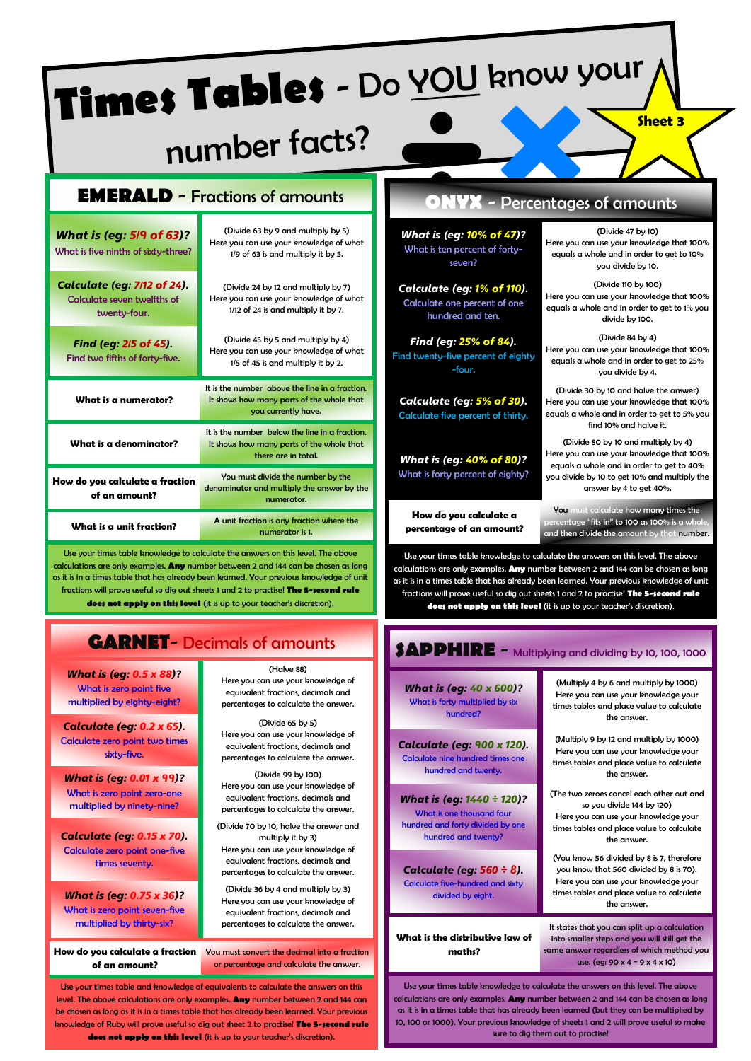| Times Tables - Do YOU know your<br><b>Sheet 3</b><br>number facts?                |                                                                                                                       |                                                                                       |                                                                                                                                                               |  |
|-----------------------------------------------------------------------------------|-----------------------------------------------------------------------------------------------------------------------|---------------------------------------------------------------------------------------|---------------------------------------------------------------------------------------------------------------------------------------------------------------|--|
|                                                                                   | <b>EMERALD</b> - Fractions of amounts                                                                                 |                                                                                       | <b>ONYX</b> - Percentages of amounts                                                                                                                          |  |
| <b>What is (eg: 5/9 of 63)?</b><br>What is five ninths of sixty-three?            | (Divide 63 by 9 and multiply by 5)<br>Here you can use your knowledge of what<br>1/9 of 63 is and multiply it by 5.   | <b>What is (eg: 10% of 47)?</b><br>What is ten percent of forty-<br>seven?            | (Divide 47 by 10)<br>Here you can use your knowledge that 100%<br>equals a whole and in order to get to 10%<br>you divide by 10.                              |  |
| <b>Calculate (eq: 7/12 of 24).</b><br>Calculate seven twelfths of<br>twenty-four. | (Divide 24 by 12 and multiply by 7)<br>Here you can use your knowledge of what<br>1/12 of 24 is and multiply it by 7. | <b>Calculate (eg: 1% of 110).</b><br>Calculate one percent of one<br>hundred and ten. | (Divide 110 by 100)<br>Here you can use your knowledge that 100%<br>equals a whole and in order to get to 1% you<br>divide by 100.                            |  |
| Find (eg: 2/5 of 45).<br>Find two fifths of forty-five.                           | (Divide 45 by 5 and multiply by 4)<br>Here you can use your knowledge of what<br>1/5 of 45 is and multiply it by 2.   | Find (eg: 25% of 84).<br>Find twenty-five percent of eighty<br>-four.                 | (Divide 84 by 4)<br>Here you can use your knowledge that 100%<br>equals a whole and in order to get to 25%<br>you divide by 4.                                |  |
| What is a numerator?                                                              | It is the number above the line in a fraction.<br>It shows how many parts of the whole that<br>you currently have.    | Calculate (eg: 5% of 30).<br>Calculate five percent of thirty.                        | (Divide 30 by 10 and halve the answer)<br>Here you can use your knowledge that 100%<br>equals a whole and in order to get to 5% you<br>find 10% and halve it. |  |
| What is a denominator?                                                            | It is the number below the line in a fraction.<br>It shows how many parts of the whole that<br>there are in total.    | <b>What is (eg: 40% of 80)?</b>                                                       | (Divide 80 by 10 and multiply by 4)<br>Here you can use your knowledge that 100%<br>equals a whole and in order to get to 40%                                 |  |
| How do you calculate a fraction                                                   | You must divide the number by the<br>denominator and multiply the answer by the                                       | What is forty percent of eighty?                                                      | you divide by 10 to get 10% and multiply the<br>answer by 4 to get 40%.                                                                                       |  |

**How do you calculate a percentage of an amount?**

#### You must calculate how many times the  $\frac{1}{2}$ ntage "fits in" to 100 as 100% is a wh and then divide the amount by that number.

Use your times table knowledge to calculate the answers on this level. The above calculations are only examples. **Any** number between 2 and 144 can be chosen as long as it is in a times table that has already been learned. Your previous knowledge of unit fractions will prove useful so dig out sheets 1 and 2 to practise! **The 5-second rule does not apply on this level** (it is up to your teacher's discretion).

| SAPPHIRE - Multiplying and dividing by 10, 100, 1000                                                              |                                                                                                                                                                                         |  |
|-------------------------------------------------------------------------------------------------------------------|-----------------------------------------------------------------------------------------------------------------------------------------------------------------------------------------|--|
| <b>What is (eg: 40 x 600)?</b><br>What is forty multiplied by six<br>hundred?                                     | (Multiply 4 by 6 and multiply by 1000)<br>Here you can use your knowledge your<br>times tables and place value to calculate<br>the answer.                                              |  |
| Calculate (eg: 900 x 120).<br>Calculate nine hundred times one<br>hundred and twenty.                             | (Multiply 9 by 12 and multiply by 1000)<br>Here you can use your knowledge your<br>times tables and place value to calculate<br>the answer.                                             |  |
| What is (eg: 1440 ÷ 120)?<br>What is one thousand four<br>hundred and forty divided by one<br>hundred and twenty? | (The two zeroes cancel each other out and<br>so you divide 144 by 120)<br>Here you can use your knowledge your<br>times tables and place value to calculate<br>the answer.              |  |
| Calculate (eg: 560 ÷ 8).<br><b>Calculate five-hundred and sixty</b><br>divided by eight.                          | (You know 56 divided by 8 is 7, therefore<br>you know that 560 divided by 8 is 70).<br>Here you can use your knowledge your<br>times tables and place value to calculate<br>the answer. |  |
| What is the distributive law of<br>maths?                                                                         | It states that you can split up a calculation<br>into smaller steps and you will still get the<br>same answer regardless of which method you<br>use. (eg: 90 x 4 = 9 x 4 x 10)          |  |

Use your times table knowledge to calculate the answers on this level. The above calculations are only examples. **Any** number between 2 and 144 can be chosen as long as it is in a times table that has already been learned (but they can be multiplied by 10, 100 or 1000). Your previous knowledge of sheets 1 and 2 will prove useful so make sure to dig them out to practise!

# **GARNET**- Decimals of amounts

**What is a unit fraction?** A unit fraction is any fraction where the

Use your times table knowledge to calculate the answers on this level. The above calculations are only examples. **Any** number between 2 and 144 can be chosen as long as it is in a times table that has already been learned. Your previous knowledge of unit fractions will prove useful so dig out sheets 1 and 2 to practise! **The 5-second rule does not apply on this level** (it is up to your teacher's discretion).

*What is (eg: 0.5 x 88)?* What is zero point five multiplied by eighty-eight?

**of an amount?**

*Calculate (eg: 0.2 x 65).* Calculate zero point two times sixty-five.

*What is (eg: 0.01 x 99)?* What is zero point zero-one multiplied by ninety-nine?

*Calculate (eg: 0.15 x 70).* Calculate zero point one-five times seventy.

*What is (eg: 0.75 x 36)?* What is zero point seven-five multiplied by thirty-six?

**of an amount?**

(Halve 88) Here you can use your knowledge of equivalent fractions, decimals and percentages to calculate the answer.

numerator.

numerator is 1.

(Divide 65 by 5) Here you can use your knowledge of equivalent fractions, decimals and percentages to calculate the answer.

(Divide 99 by 100) Here you can use your knowledge of equivalent fractions, decimals and percentages to calculate the answer.

(Divide 70 by 10, halve the answer and multiply it by 3)

Here you can use your knowledge of equivalent fractions, decimals and percentages to calculate the answer.

(Divide 36 by 4 and multiply by 3) Here you can use your knowledge of equivalent fractions, decimals and percentages to calculate the answer.

How do you calculate a fraction **Vou must convert the decimal into a fraction** or percentage and calculate the answer.

Use your times table and knowledge of equivalents to calculate the answers on this level. The above calculations are only examples. **Any** number between 2 and 144 can be chosen as long as it is in a times table that has already been learned. Your previous knowledge of Ruby will prove useful so dig out sheet 2 to practise! **The 5-second rule does not apply on this level** (it is up to your teacher's discretion).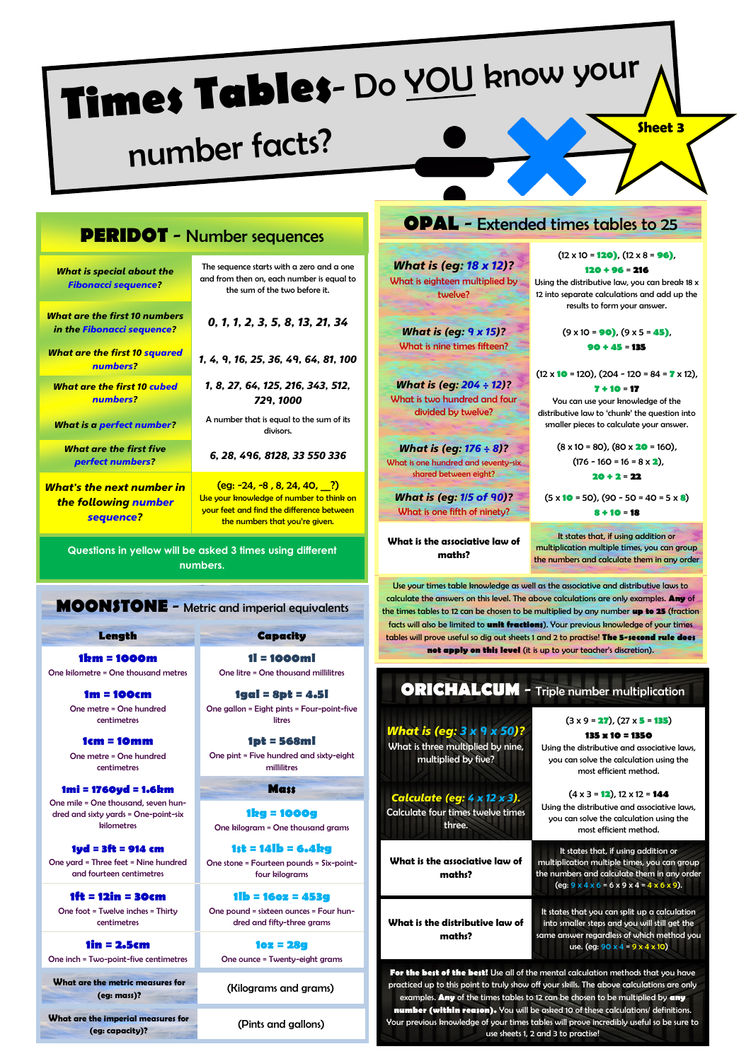# **Times Tables**- Do YOU know your

# number facts?

## **PERIDOT** - Number sequences

*What is special about the Fibonacci sequence?*

*What are the first 10 numbers in the Fibonacci sequence?*

*What are the first 10 squared numbers?*

*What are the first 10 cubed numbers?*

*What is a perfect number?*

*What are the first five perfect numbers?*

*What's the next number in the following number sequence?*

The sequence starts with a zero and a one and from then on, each number is equal to the sum of the two before it.

*0, 1, 1, 2, 3, 5, 8, 13, 21, 34*

*1, 4, 9, 16, 25, 36, 49, 64, 81, 100*

*1, 8, 27, 64, 125, 216, 343, 512, 729, 1000*

A number that is equal to the sum of its divisors.

*6, 28, 496, 8128, 33 550 336*

 $\frac{1}{2}$  (eg: -24, -8, 8, 24, 40, ?) Use your knowledge of number to think on your feet and find the difference between the numbers that you're given.

**Questions in yellow will be asked 3 times using different numbers.**

### **MOONSTONE** - Metric and imperial equivalents

**Length Capacity**

**1km = 1000m** 

One kilometre = One thousand metres

**1m = 100cm**  One metre = One hundred centimetres

**1cm = 10mm**  One metre = One hundred centimetres

**1mi = 1760yd = 1.6km** One mile = One thousand, seven hundred and sixty yards = One-point-six kilometres

**1yd = 3ft = 914 cm** One yard = Three feet = Nine hundred and fourteen centimetres

**1ft = 12in = 30cm**  One foot = Twelve inches = Thirty centimetres

**1in = 2.5cm**  One inch = Two-point-five centimetres

**What are the metric measures for (eg: mass)?** (Kilograms and grams)

**What are the imperial measures for (eg: capacity)?** (Pints and gallons)

**1l = 1000ml**  One litre = One thousand millilitres

**1gal = 8pt = 4.5l** One gallon = Eight pints = Four-point-five litres

**1pt = 568ml**  One pint = Five hundred and sixty-eight millilitres

**Mass**

**1kg = 1000g**  One kilogram = One thousand grams

**1st = 14lb = 6.4kg** One stone = Fourteen pounds = Six-pointfour kilograms

**1lb = 16oz = 453g** One pound = sixteen ounces = Four hundred and fifty-three grams

**1oz = 28g** One ounce = Twenty-eight grams

### **OPAL** - Extended times tables to 25

*What is (eg: 18 x 12)?* What is eighteen multiplied by twelve?

*What is (eg: 9 x 15)?* What is nine times fifteen?

*What is (eg: 204 ÷ 12)?* What is two hundred and four divided by twelve?

*What is (eg: 176 ÷ 8)?* What is one hundred and seventy-six shared between eight?

*What is (eg: 1/5 of 90)?* What is one fifth of ninety?

**What is the associative law of maths?**

(12 x 10 = **120)**, (12 x 8 = **96)**, **120 + 96** = **216**

Using the distributive law, you can break 18 x 12 into separate calculations and add up the results to form your answer.

> (9 x 10 = **90)**, (9 x 5 = **45)**, **90 + 45** = **135**

(12 x **10** = 120), (204 - 120 = 84 = **7** x 12), **7 + 10** = **17**

You can use your knowledge of the distributive law to 'chunk' the question into smaller pieces to calculate your answer.

> (8 x 10 = 80), (80 x **20** = 160), (176 - 160 = 16 = 8 x **2**), **20 + 2** = **22**

(5 x **10** = 50), (90 - 50 = 40 = 5 x **8**) **8 + 10** = **18**

It states that, if using addition or multiplication multiple times, you can group the numbers and calculate them in any order

Use your times table knowledge as well as the associative and distributive laws to calculate the answers on this level. The above calculations are only examples. **Any** of the times tables to 12 can be chosen to be multiplied by any number **up to 25** (fraction facts will also be limited to **unit fractions**). Your previous knowledge of your times tables will prove useful so dig out sheets 1 and 2 to practise! **The 5-second rule does not apply on this level** (it is up to your teacher's discretion).

**ORICHALCUM** - Triple number multiplication *What is (eg: 3 x 9 x 50)?* What is three multiplied by nine, multiplied by five? (3 x 9 = **27**), (27 x **5** = **135**) **135 x 10 = 1350** Using the distributive and associative laws, you can solve the calculation using the most efficient method. *Calculate (eg: 4 x 12 x 3).* Calculate four times twelve times three.  $(4 \times 3 = 12)$ ,  $12 \times 12 = 144$ Using the distributive and associative laws, you can solve the calculation using the most efficient method. **What is the associative law of maths?** It states that, if using addition or multiplication multiple times, you can group the numbers and calculate them in any order  $(eq: 9 \times 4 \times 6 = 6 \times 9 \times 4 = 4 \times 6 \times 9)$ . **What is the distributive law of maths?** It states that you can split up a calculation into smaller steps and you will still get the same answer regardless of which method you use. (eg:  $90 \times 4 = 9 \times 4 \times 10$ ) **For the best of the best!** Use all of the mental calculation methods that you have practiced up to this point to truly show off your skills. The above calculations are only examples. **Any** of the times tables to 12 can be chosen to be multiplied by **any**

**number (within reason).** You will be asked 10 of these calculations/ definitions. Your previous knowledge of your times tables will prove incredibly useful so be sure to use sheets 1, 2 and 3 to practise!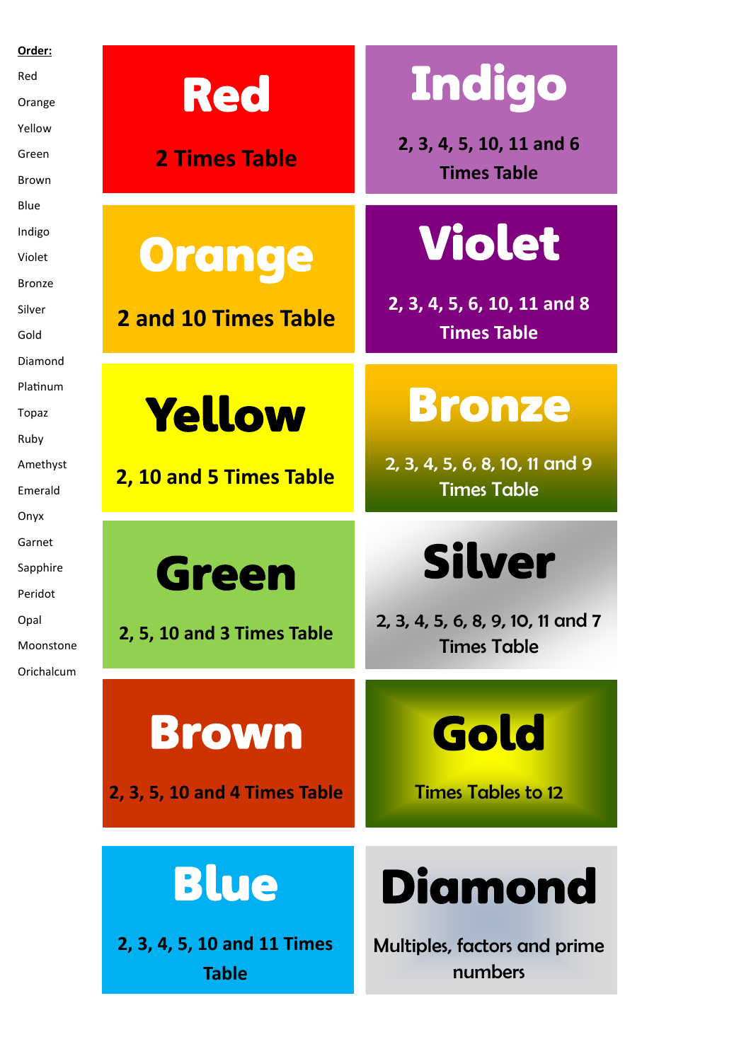| Order:          |                               |                                   |
|-----------------|-------------------------------|-----------------------------------|
| Red             |                               | <b>Indigo</b>                     |
| Orange          | <b>Red</b>                    |                                   |
| Yellow          |                               | 2, 3, 4, 5, 10, 11 and 6          |
| Green           | <b>2 Times Table</b>          | <b>Times Table</b>                |
| Brown           |                               |                                   |
| Blue            |                               |                                   |
| Indigo          |                               | <b>Violet</b>                     |
| Violet          | <b>Orange</b>                 |                                   |
| <b>Bronze</b>   |                               | 2, 3, 4, 5, 6, 10, 11 and 8       |
| Silver          | <b>2 and 10 Times Table</b>   | <b>Times Table</b>                |
| Gold<br>Diamond |                               |                                   |
| Platinum        |                               |                                   |
| Topaz           | <b>Yellow</b>                 | <b>Bronze</b>                     |
| Ruby            |                               |                                   |
| Amethyst        |                               | 2, 3, 4, 5, 6, 8, 10, 11 and 9    |
| Emerald         | 2, 10 and 5 Times Table       | <b>Times Table</b>                |
| Onyx            |                               |                                   |
| Garnet          |                               |                                   |
| Sapphire        | <b>Green</b>                  | <b>Silver</b>                     |
| Peridot         |                               |                                   |
| Opal            | 2, 5, 10 and 3 Times Table    | 2, 3, 4, 5, 6, 8, 9, 10, 11 and 7 |
| Moonstone       |                               | <b>Times Table</b>                |
| Orichalcum      |                               |                                   |
|                 |                               |                                   |
|                 | <b>Brown</b>                  | Gold                              |
|                 |                               |                                   |
|                 | 2, 3, 5, 10 and 4 Times Table | <b>Times Tables to 12</b>         |
|                 |                               |                                   |
|                 |                               |                                   |
|                 |                               |                                   |
|                 | <b>Blue</b>                   | <b>Diamond</b>                    |
|                 |                               |                                   |
|                 | 2, 3, 4, 5, 10 and 11 Times   | Multiples, factors and prime      |
|                 | <b>Table</b>                  | numbers                           |